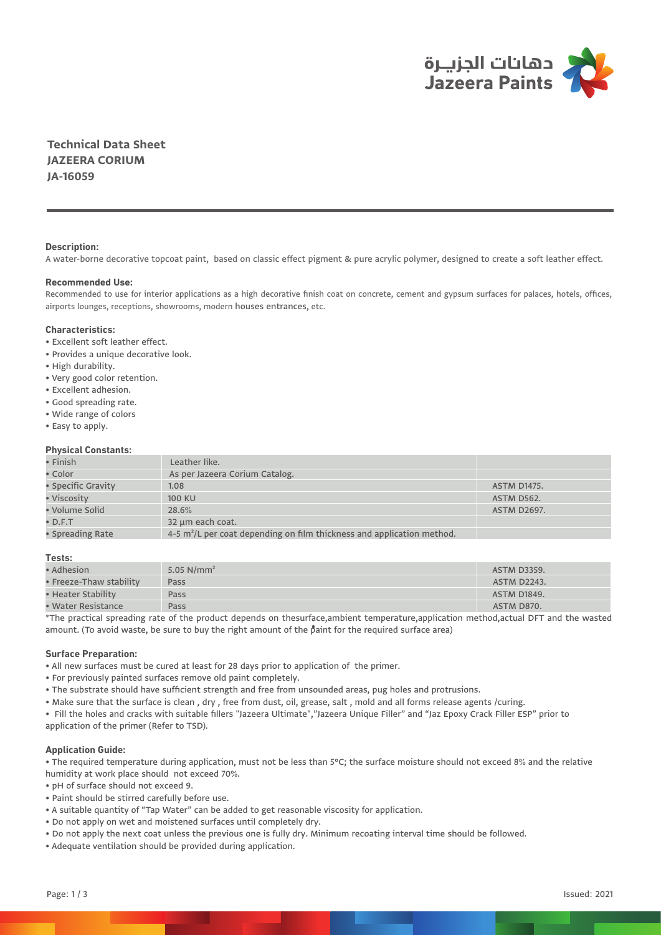

**Technical Data Sheet JAZEERA CORIUM JA-16059**

## **Description:**

A water-borne decorative topcoat paint, based on classic effect pigment & pure acrylic polymer, designed to create a soft leather effect.

### **Recommended Use:**

Recommended to use for interior applications as a high decorative finish coat on concrete, cement and gypsum surfaces for palaces, hotels, offices, airports lounges, receptions, showrooms, modern houses entrances, etc.

### **Characteristics:**

- Excellent soft leather effect.
- Provides a unique decorative look.
- High durability.
- Very good color retention.
- Excellent adhesion.
- Good spreading rate.
- Wide range of colors
- Easy to apply.

## **Physical Constants:**

| $\bullet$ Finish   | Leather like.                                                                        |                    |
|--------------------|--------------------------------------------------------------------------------------|--------------------|
| • Color            | As per Jazeera Corium Catalog.                                                       |                    |
| • Specific Gravity | 1.08                                                                                 | <b>ASTM D1475.</b> |
| • Viscosity        | <b>100 KU</b>                                                                        | <b>ASTM D562.</b>  |
| • Volume Solid     | 28.6%                                                                                | <b>ASTM D2697.</b> |
| $\bullet$ D.F.T    | 32 µm each coat.                                                                     |                    |
| • Spreading Rate   | $4-5$ m <sup>2</sup> /L per coat depending on film thickness and application method. |                    |

### **Tests:**

| $\bullet$ Adhesion $\bullet$ | 5.05 $N/mm^2$ | <b>ASTM D3359.</b> |
|------------------------------|---------------|--------------------|
| • Freeze-Thaw stability      | Pass          | <b>ASTM D2243.</b> |
| $\bullet$ Heater Stability   | Pass          | <b>ASTM D1849.</b> |
| $\bullet$ Water Resistance   | Pass          | ASTM D870.         |

\*The practical spreading rate of the product depends on thesurface,ambient temperature,application method,actual DFT and the wasted amount. (To avoid waste, be sure to buy the right amount of the paint for the required surface area) •

## **Surface Preparation:**

- All new surfaces must be cured at least for 28 days prior to application of the primer.
- For previously painted surfaces remove old paint completely.
- The substrate should have sufficient strength and free from unsounded areas, pug holes and protrusions.
- Make sure that the surface is clean , dry , free from dust, oil, grease, salt , mold and all forms release agents /curing.
- Fill the holes and cracks with suitable fillers "Jazeera Ultimate","Jazeera Unique Filler" and "Jaz Epoxy Crack Filler ESP" prior to application of the primer (Refer to TSD).

## **Application Guide:**

• The required temperature during application, must not be less than 5°C; the surface moisture should not exceed 8% and the relative humidity at work place should not exceed 70%.

- pH of surface should not exceed 9.
- Paint should be stirred carefully before use.
- A suitable quantity of "Tap Water" can be added to get reasonable viscosity for application.
- Do not apply on wet and moistened surfaces until completely dry.
- Do not apply the next coat unless the previous one is fully dry. Minimum recoating interval time should be followed.
- Adequate ventilation should be provided during application.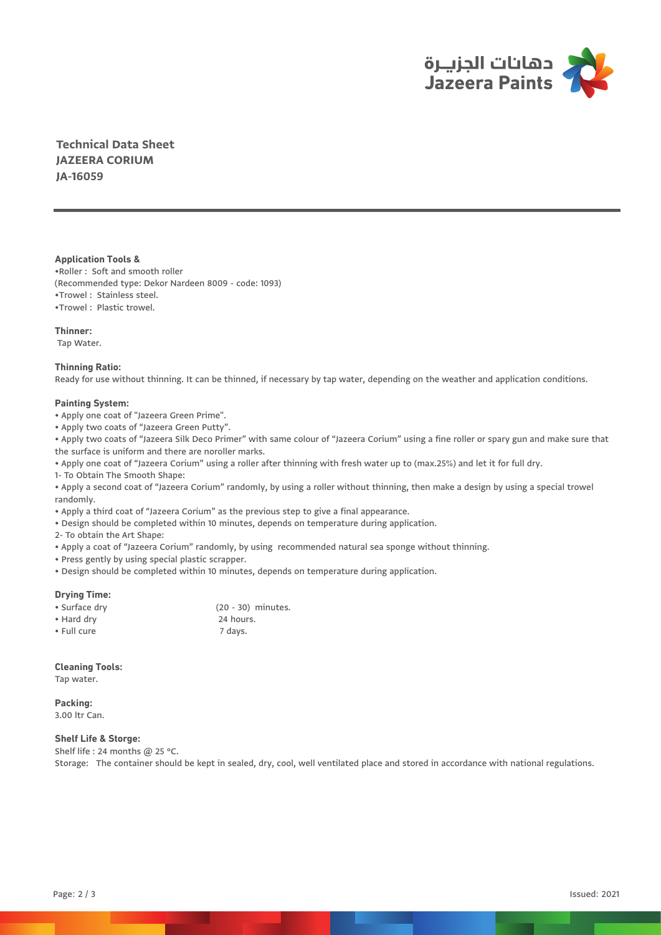

**Technical Data Sheet JAZEERA CORIUM JA-16059**

## **Application Tools &**

•Roller :Soft and smooth roller (Recommended type: Dekor Nardeen 8009 - code: 1093) •Trowel : Stainless steel. •Trowel :Plastic trowel.

# **Thinner:**

Tap Water.

## **Thinning Ratio:**

Ready for use without thinning. It can be thinned, if necessary by tap water, depending on the weather and application conditions.

# **Painting System:**

• Apply one coat of "Jazeera Green Prime".

• Apply two coats of "Jazeera Green Putty".

• Apply two coats of "Jazeera Silk Deco Primer" with same colour of "Jazeera Corium" using a fine roller or spary gun and make sure that the surface is uniform and there are noroller marks.

• Apply one coat of "Jazeera Corium" using a roller after thinning with fresh water up to (max.25%) and let it for full dry.

1- To Obtain The Smooth Shape:

• Apply a second coat of "Jazeera Corium" randomly, by using a roller without thinning, then make a design by using a special trowel randomly.

• Apply a third coat of "Jazeera Corium" as the previous step to give a final appearance.

• Design should be completed within 10 minutes, depends on temperature during application.

2- To obtain the Art Shape:

• Apply a coat of "Jazeera Corium" randomly, by using recommended natural sea sponge without thinning.

• Press gently by using special plastic scrapper.

• Design should be completed within 10 minutes, depends on temperature during application.

# **Drying Time:**

| • Surface dry | (20 - 30) minutes. |
|---------------|--------------------|
| • Hard dry    | 24 hours.          |
| • Full cure   | 7 days.            |

# **Cleaning Tools:**

Tap water.

**Packing:** 3.00 ltr Can.

# **Shelf Life & Storge:**

Shelf life : 24 months @ 25 °C. Storage: The container should be kept in sealed, dry, cool, well ventilated place and stored in accordance with national regulations.